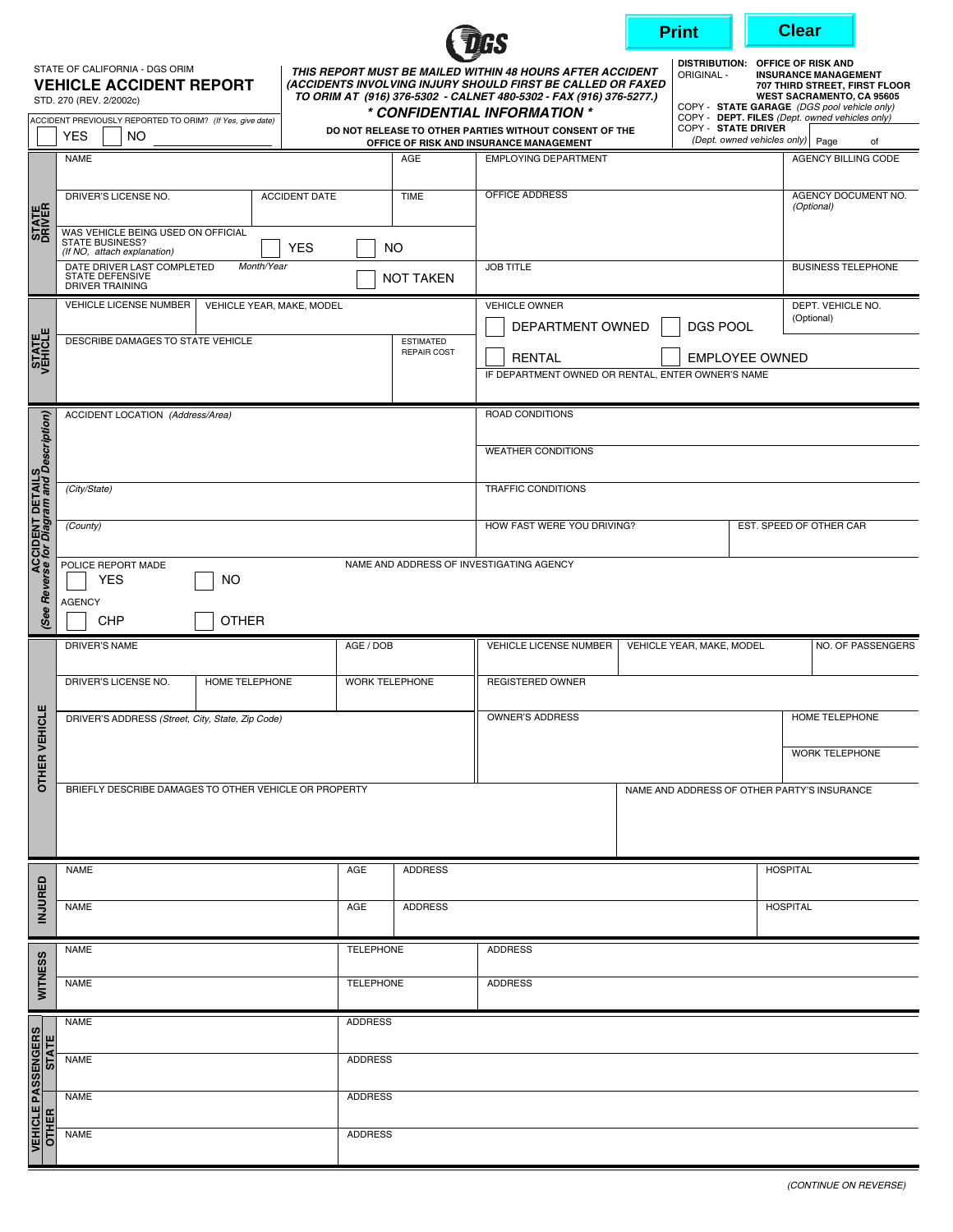|                                                          |              |                                                                                                           |                      |                                                                                                                                                                                                                                |                                                                                             |                                             | <b>Clear</b><br><b>Print</b>                                  |                                                                                                                                                                                                                                       |                                   |  |  |
|----------------------------------------------------------|--------------|-----------------------------------------------------------------------------------------------------------|----------------------|--------------------------------------------------------------------------------------------------------------------------------------------------------------------------------------------------------------------------------|---------------------------------------------------------------------------------------------|---------------------------------------------|---------------------------------------------------------------|---------------------------------------------------------------------------------------------------------------------------------------------------------------------------------------------------------------------------------------|-----------------------------------|--|--|
|                                                          |              | STATE OF CALIFORNIA - DGS ORIM<br><b>VEHICLE ACCIDENT REPORT</b><br>STD. 270 (REV. 2/2002c)               |                      | THIS REPORT MUST BE MAILED WITHIN 48 HOURS AFTER ACCIDENT<br>(ACCIDENTS INVOLVING INJURY SHOULD FIRST BE CALLED OR FAXED<br>TO ORIM AT (916) 376-5302 - CALNET 480-5302 - FAX (916) 376-5277.)<br>* CONFIDENTIAL INFORMATION * |                                                                                             |                                             | <b>ORIGINAL -</b>                                             | DISTRIBUTION: OFFICE OF RISK AND<br><b>INSURANCE MANAGEMENT</b><br>707 THIRD STREET, FIRST FLOOR<br><b>WEST SACRAMENTO, CA 95605</b><br>COPY - STATE GARAGE (DGS pool vehicle only)<br>COPY - DEPT. FILES (Dept. owned vehicles only) |                                   |  |  |
|                                                          |              | ACCIDENT PREVIOUSLY REPORTED TO ORIM? (If Yes, give date)<br><b>YES</b><br>NO.                            |                      | DO NOT RELEASE TO OTHER PARTIES WITHOUT CONSENT OF THE<br>OFFICE OF RISK AND INSURANCE MANAGEMENT                                                                                                                              |                                                                                             |                                             | COPY - STATE DRIVER<br>(Dept. owned vehicles only) Page<br>of |                                                                                                                                                                                                                                       |                                   |  |  |
| <b>STATE</b>                                             |              | <b>NAME</b>                                                                                               |                      | AGE                                                                                                                                                                                                                            | <b>EMPLOYING DEPARTMENT</b>                                                                 |                                             |                                                               |                                                                                                                                                                                                                                       | AGENCY BILLING CODE               |  |  |
|                                                          |              | DRIVER'S LICENSE NO.                                                                                      | <b>ACCIDENT DATE</b> | <b>OFFICE ADDRESS</b><br><b>TIME</b>                                                                                                                                                                                           |                                                                                             |                                             |                                                               |                                                                                                                                                                                                                                       | AGENCY DOCUMENT NO.<br>(Optional) |  |  |
|                                                          |              | WAS VEHICLE BEING USED ON OFFICIAL<br><b>STATE BUSINESS?</b><br><b>YES</b><br>(If NO, attach explanation) |                      | <b>NO</b>                                                                                                                                                                                                                      |                                                                                             |                                             |                                                               |                                                                                                                                                                                                                                       |                                   |  |  |
|                                                          |              | DATE DRIVER LAST COMPLETED<br>Month/Year<br><b>STATE DEFENSIVE</b><br><b>DRIVER TRAINING</b>              |                      | <b>NOT TAKEN</b>                                                                                                                                                                                                               | <b>JOB TITLE</b>                                                                            |                                             |                                                               |                                                                                                                                                                                                                                       | <b>BUSINESS TELEPHONE</b>         |  |  |
|                                                          |              | <b>VEHICLE LICENSE NUMBER</b><br>VEHICLE YEAR, MAKE, MODEL                                                |                      | <b>VEHICLE OWNER</b>                                                                                                                                                                                                           |                                                                                             |                                             | DEPT. VEHICLE NO.<br>(Optional)                               |                                                                                                                                                                                                                                       |                                   |  |  |
| <b>STATE</b>                                             |              | DESCRIBE DAMAGES TO STATE VEHICLE                                                                         |                      | <b>ESTIMATED</b>                                                                                                                                                                                                               | <b>DGS POOL</b><br>DEPARTMENT OWNED                                                         |                                             |                                                               |                                                                                                                                                                                                                                       |                                   |  |  |
|                                                          |              |                                                                                                           |                      | <b>REPAIR COST</b>                                                                                                                                                                                                             | <b>RENTAL</b><br><b>EMPLOYEE OWNED</b><br>IF DEPARTMENT OWNED OR RENTAL, ENTER OWNER'S NAME |                                             |                                                               |                                                                                                                                                                                                                                       |                                   |  |  |
|                                                          |              |                                                                                                           |                      |                                                                                                                                                                                                                                |                                                                                             |                                             |                                                               |                                                                                                                                                                                                                                       |                                   |  |  |
|                                                          |              | ACCIDENT LOCATION (Address/Area)                                                                          |                      |                                                                                                                                                                                                                                | ROAD CONDITIONS                                                                             |                                             |                                                               |                                                                                                                                                                                                                                       |                                   |  |  |
|                                                          |              |                                                                                                           |                      | <b>WEATHER CONDITIONS</b>                                                                                                                                                                                                      |                                                                                             |                                             |                                                               |                                                                                                                                                                                                                                       |                                   |  |  |
| ACCIDENT DETAILS<br>Reverse for Diagram and Description) |              | (City/State)                                                                                              |                      |                                                                                                                                                                                                                                | <b>TRAFFIC CONDITIONS</b>                                                                   |                                             |                                                               |                                                                                                                                                                                                                                       |                                   |  |  |
|                                                          |              | (County)                                                                                                  |                      | HOW FAST WERE YOU DRIVING?<br>EST. SPEED OF OTHER CAR                                                                                                                                                                          |                                                                                             |                                             |                                                               |                                                                                                                                                                                                                                       |                                   |  |  |
|                                                          |              | POLICE REPORT MADE<br><b>NO</b><br><b>YES</b>                                                             |                      | NAME AND ADDRESS OF INVESTIGATING AGENCY                                                                                                                                                                                       |                                                                                             |                                             |                                                               |                                                                                                                                                                                                                                       |                                   |  |  |
|                                                          | (See         | <b>AGENCY</b><br><b>OTHER</b><br>CHP                                                                      |                      |                                                                                                                                                                                                                                |                                                                                             |                                             |                                                               |                                                                                                                                                                                                                                       |                                   |  |  |
| <b>OTHER VEHICLE</b>                                     |              | DRIVER'S NAME<br>AGE / DOB                                                                                |                      |                                                                                                                                                                                                                                | VEHICLE LICENSE NUMBER                                                                      | VEHICLE YEAR, MAKE, MODEL                   |                                                               |                                                                                                                                                                                                                                       | NO. OF PASSENGERS                 |  |  |
|                                                          |              | DRIVER'S LICENSE NO.<br>HOME TELEPHONE                                                                    |                      | <b>WORK TELEPHONE</b>                                                                                                                                                                                                          | <b>REGISTERED OWNER</b>                                                                     |                                             |                                                               |                                                                                                                                                                                                                                       |                                   |  |  |
|                                                          |              | DRIVER'S ADDRESS (Street, City, State, Zip Code)                                                          |                      |                                                                                                                                                                                                                                | OWNER'S ADDRESS                                                                             |                                             |                                                               |                                                                                                                                                                                                                                       | HOME TELEPHONE                    |  |  |
|                                                          |              |                                                                                                           |                      |                                                                                                                                                                                                                                |                                                                                             |                                             |                                                               |                                                                                                                                                                                                                                       | WORK TELEPHONE                    |  |  |
|                                                          |              | BRIEFLY DESCRIBE DAMAGES TO OTHER VEHICLE OR PROPERTY                                                     |                      |                                                                                                                                                                                                                                |                                                                                             |                                             |                                                               |                                                                                                                                                                                                                                       |                                   |  |  |
|                                                          |              |                                                                                                           |                      |                                                                                                                                                                                                                                |                                                                                             | NAME AND ADDRESS OF OTHER PARTY'S INSURANCE |                                                               |                                                                                                                                                                                                                                       |                                   |  |  |
|                                                          |              |                                                                                                           |                      |                                                                                                                                                                                                                                |                                                                                             |                                             |                                                               |                                                                                                                                                                                                                                       |                                   |  |  |
|                                                          |              | <b>NAME</b>                                                                                               |                      | <b>ADDRESS</b>                                                                                                                                                                                                                 |                                                                                             |                                             | <b>HOSPITAL</b>                                               |                                                                                                                                                                                                                                       |                                   |  |  |
| <b>INJURED</b>                                           |              | <b>NAME</b><br>AGE                                                                                        |                      | <b>ADDRESS</b>                                                                                                                                                                                                                 |                                                                                             |                                             | <b>HOSPITAL</b>                                               |                                                                                                                                                                                                                                       |                                   |  |  |
|                                                          |              | <b>TELEPHONE</b><br><b>NAME</b>                                                                           |                      |                                                                                                                                                                                                                                | <b>ADDRESS</b>                                                                              |                                             |                                                               |                                                                                                                                                                                                                                       |                                   |  |  |
| <b>WITNESS</b>                                           |              | <b>NAME</b>                                                                                               |                      | <b>TELEPHONE</b>                                                                                                                                                                                                               | <b>ADDRESS</b>                                                                              |                                             |                                                               |                                                                                                                                                                                                                                       |                                   |  |  |
| <b>VEHICLE PASSENGERS</b><br><b>STATE</b>                |              | <b>NAME</b>                                                                                               |                      |                                                                                                                                                                                                                                |                                                                                             |                                             |                                                               |                                                                                                                                                                                                                                       |                                   |  |  |
|                                                          |              | <b>NAME</b>                                                                                               |                      | <b>ADDRESS</b>                                                                                                                                                                                                                 |                                                                                             |                                             |                                                               |                                                                                                                                                                                                                                       |                                   |  |  |
|                                                          |              | <b>NAME</b>                                                                                               | <b>ADDRESS</b>       |                                                                                                                                                                                                                                |                                                                                             |                                             |                                                               |                                                                                                                                                                                                                                       |                                   |  |  |
|                                                          | <b>OTHER</b> | <b>NAME</b>                                                                                               |                      | <b>ADDRESS</b>                                                                                                                                                                                                                 |                                                                                             |                                             |                                                               |                                                                                                                                                                                                                                       |                                   |  |  |
|                                                          |              |                                                                                                           |                      |                                                                                                                                                                                                                                |                                                                                             |                                             |                                                               |                                                                                                                                                                                                                                       |                                   |  |  |